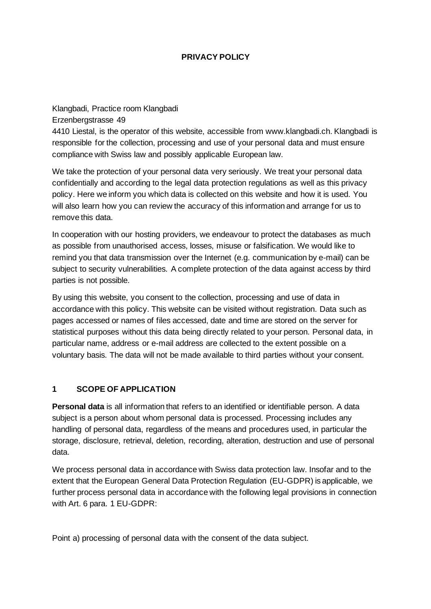#### **PRIVACY POLICY**

Klangbadi, Practice room Klangbadi Erzenbergstrasse 49 4410 Liestal, is the operator of this website, accessible from www.klangbadi.ch. Klangbadi is responsible for the collection, processing and use of your personal data and must ensure compliance with Swiss law and possibly applicable European law.

We take the protection of your personal data very seriously. We treat your personal data confidentially and according to the legal data protection regulations as well as this privacy policy. Here we inform you which data is collected on this website and how it is used. You will also learn how you can review the accuracy of this information and arrange for us to remove this data.

In cooperation with our hosting providers, we endeavour to protect the databases as much as possible from unauthorised access, losses, misuse or falsification. We would like to remind you that data transmission over the Internet (e.g. communication by e-mail) can be subject to security vulnerabilities. A complete protection of the data against access by third parties is not possible.

By using this website, you consent to the collection, processing and use of data in accordance with this policy. This website can be visited without registration. Data such as pages accessed or names of files accessed, date and time are stored on the server for statistical purposes without this data being directly related to your person. Personal data, in particular name, address or e-mail address are collected to the extent possible on a voluntary basis. The data will not be made available to third parties without your consent.

#### **1 SCOPE OF APPLICATION**

**Personal data** is all information that refers to an identified or identifiable person. A data subject is a person about whom personal data is processed. Processing includes any handling of personal data, regardless of the means and procedures used, in particular the storage, disclosure, retrieval, deletion, recording, alteration, destruction and use of personal data.

We process personal data in accordance with Swiss data protection law. Insofar and to the extent that the European General Data Protection Regulation (EU-GDPR) is applicable, we further process personal data in accordance with the following legal provisions in connection with Art. 6 para. 1 EU-GDPR:

Point a) processing of personal data with the consent of the data subject.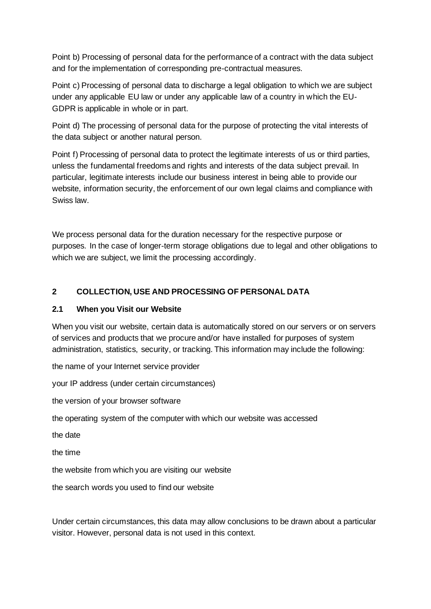Point b) Processing of personal data for the performance of a contract with the data subject and for the implementation of corresponding pre-contractual measures.

Point c) Processing of personal data to discharge a legal obligation to which we are subject under any applicable EU law or under any applicable law of a country in which the EU-GDPR is applicable in whole or in part.

Point d) The processing of personal data for the purpose of protecting the vital interests of the data subject or another natural person.

Point f) Processing of personal data to protect the legitimate interests of us or third parties, unless the fundamental freedoms and rights and interests of the data subject prevail. In particular, legitimate interests include our business interest in being able to provide our website, information security, the enforcement of our own legal claims and compliance with Swiss law.

We process personal data for the duration necessary for the respective purpose or purposes. In the case of longer-term storage obligations due to legal and other obligations to which we are subject, we limit the processing accordingly.

#### **2 COLLECTION, USE AND PROCESSING OF PERSONAL DATA**

#### **2.1 When you Visit our Website**

When you visit our website, certain data is automatically stored on our servers or on servers of services and products that we procure and/or have installed for purposes of system administration, statistics, security, or tracking. This information may include the following:

the name of your Internet service provider

your IP address (under certain circumstances)

the version of your browser software

the operating system of the computer with which our website was accessed

the date

the time

the website from which you are visiting our website

the search words you used to find our website

Under certain circumstances, this data may allow conclusions to be drawn about a particular visitor. However, personal data is not used in this context.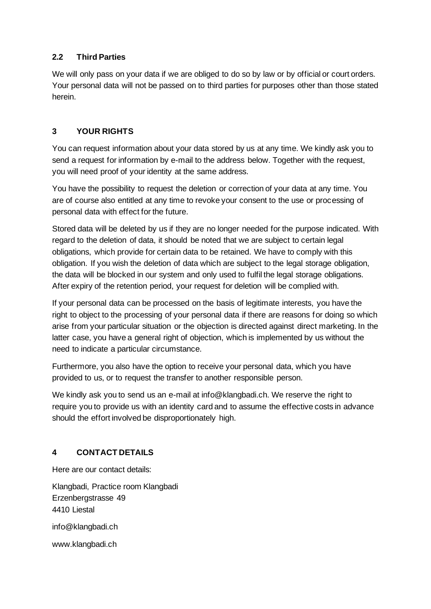# **2.2 Third Parties**

We will only pass on your data if we are obliged to do so by law or by official or court orders. Your personal data will not be passed on to third parties for purposes other than those stated herein.

# **3 YOUR RIGHTS**

You can request information about your data stored by us at any time. We kindly ask you to send a request for information by e-mail to the address below. Together with the request, you will need proof of your identity at the same address.

You have the possibility to request the deletion or correction of your data at any time. You are of course also entitled at any time to revoke your consent to the use or processing of personal data with effect for the future.

Stored data will be deleted by us if they are no longer needed for the purpose indicated. With regard to the deletion of data, it should be noted that we are subject to certain legal obligations, which provide for certain data to be retained. We have to comply with this obligation. If you wish the deletion of data which are subject to the legal storage obligation, the data will be blocked in our system and only used to fulfil the legal storage obligations. After expiry of the retention period, your request for deletion will be complied with.

If your personal data can be processed on the basis of legitimate interests, you have the right to object to the processing of your personal data if there are reasons for doing so which arise from your particular situation or the objection is directed against direct marketing. In the latter case, you have a general right of objection, which is implemented by us without the need to indicate a particular circumstance.

Furthermore, you also have the option to receive your personal data, which you have provided to us, or to request the transfer to another responsible person.

We kindly ask you to send us an e-mail at info@klangbadi.ch. We reserve the right to require you to provide us with an identity card and to assume the effective costs in advance should the effort involved be disproportionately high.

# **4 CONTACT DETAILS**

Here are our contact details:

Klangbadi, Practice room Klangbadi Erzenbergstrasse 49 4410 Liestal info@klangbadi.ch www.klangbadi.ch